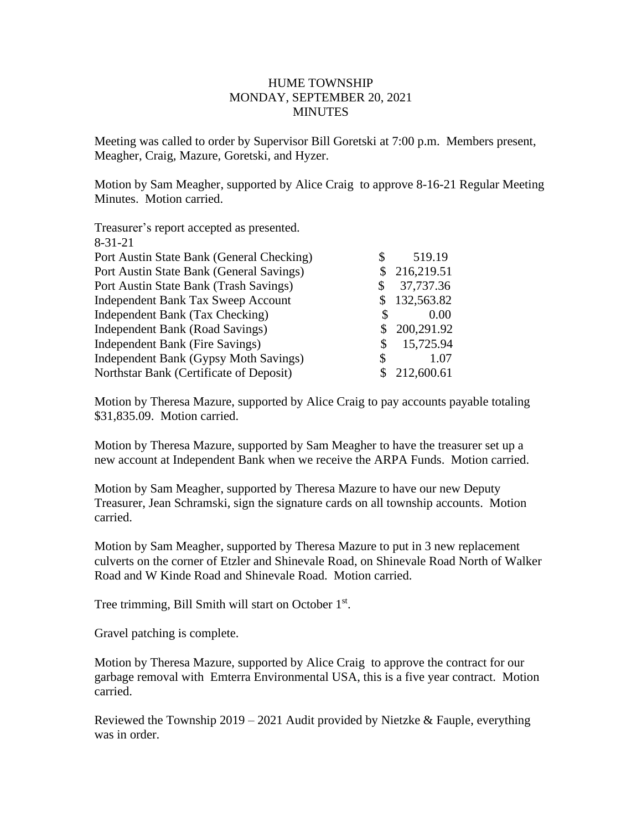## HUME TOWNSHIP MONDAY, SEPTEMBER 20, 2021 MINUTES

Meeting was called to order by Supervisor Bill Goretski at 7:00 p.m. Members present, Meagher, Craig, Mazure, Goretski, and Hyzer.

Motion by Sam Meagher, supported by Alice Craig to approve 8-16-21 Regular Meeting Minutes. Motion carried.

| Treasurer's report accepted as presented. |    |            |
|-------------------------------------------|----|------------|
| $8 - 31 - 21$                             |    |            |
| Port Austin State Bank (General Checking) | S  | 519.19     |
| Port Austin State Bank (General Savings)  |    | 216,219.51 |
| Port Austin State Bank (Trash Savings)    | S  | 37,737.36  |
| <b>Independent Bank Tax Sweep Account</b> |    | 132,563.82 |
| Independent Bank (Tax Checking)           | S  | 0.00       |
| Independent Bank (Road Savings)           | \$ | 200,291.92 |
| Independent Bank (Fire Savings)           | \$ | 15,725.94  |
| Independent Bank (Gypsy Moth Savings)     | S  | 1.07       |
| Northstar Bank (Certificate of Deposit)   |    | 212,600.61 |

Motion by Theresa Mazure, supported by Alice Craig to pay accounts payable totaling \$31,835.09. Motion carried.

Motion by Theresa Mazure, supported by Sam Meagher to have the treasurer set up a new account at Independent Bank when we receive the ARPA Funds. Motion carried.

Motion by Sam Meagher, supported by Theresa Mazure to have our new Deputy Treasurer, Jean Schramski, sign the signature cards on all township accounts. Motion carried.

Motion by Sam Meagher, supported by Theresa Mazure to put in 3 new replacement culverts on the corner of Etzler and Shinevale Road, on Shinevale Road North of Walker Road and W Kinde Road and Shinevale Road. Motion carried.

Tree trimming, Bill Smith will start on October 1<sup>st</sup>.

Gravel patching is complete.

Motion by Theresa Mazure, supported by Alice Craig to approve the contract for our garbage removal with Emterra Environmental USA, this is a five year contract. Motion carried.

Reviewed the Township 2019 – 2021 Audit provided by Nietzke & Fauple, everything was in order.